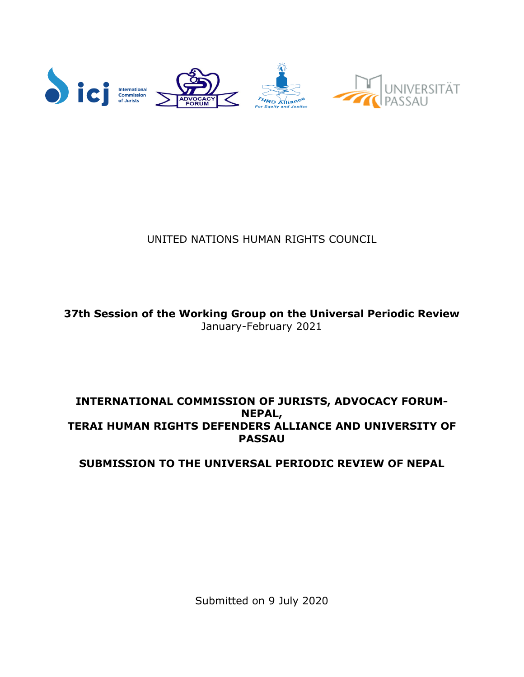

# UNITED NATIONS HUMAN RIGHTS COUNCIL

**37th Session of the Working Group on the Universal Periodic Review** January-February 2021

# **INTERNATIONAL COMMISSION OF JURISTS, ADVOCACY FORUM-NEPAL, TERAI HUMAN RIGHTS DEFENDERS ALLIANCE AND UNIVERSITY OF PASSAU**

**SUBMISSION TO THE UNIVERSAL PERIODIC REVIEW OF NEPAL**

Submitted on 9 July 2020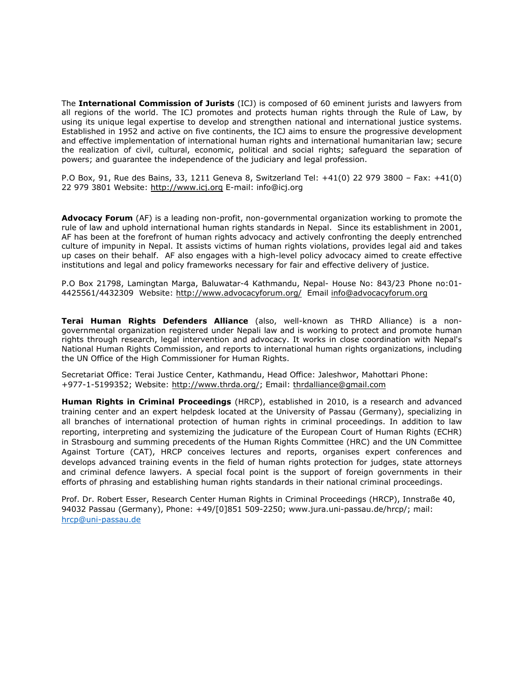The **International Commission of Jurists** (ICJ) is composed of 60 eminent jurists and lawyers from all regions of the world. The ICJ promotes and protects human rights through the Rule of Law, by using its unique legal expertise to develop and strengthen national and international justice systems. Established in 1952 and active on five continents, the ICJ aims to ensure the progressive development and effective implementation of international human rights and international humanitarian law; secure the realization of civil, cultural, economic, political and social rights; safeguard the separation of powers; and guarantee the independence of the judiciary and legal profession.

P.O Box, 91, Rue des Bains, 33, 1211 Geneva 8, Switzerland Tel: +41(0) 22 979 3800 – Fax: +41(0) 22 979 3801 Website: <http://www.icj.org> E-mail: info@icj.org

**Advocacy Forum** (AF) is <sup>a</sup> leading non-profit, non-governmental organization working to promote the rule of law and uphold international human rights standards in Nepal. Since its establishment in 2001, AF has been at the forefront of human rights advocacy and actively confronting the deeply entrenched culture of impunity in Nepal. It assists victims of human rights violations, provides legal aid and takes up cases on their behalf. AF also engages with <sup>a</sup> high-level policy advocacy aimed to create effective institutions and legal and policy frameworks necessary for fair and effective delivery of justice.

P.O Box 21798, Lamingtan Marga, Baluwatar-4 Kathmandu, Nepal- House No: 843/23 Phone no:01- 4425561/4432309 Website: <http://www.advocacyforum.org/> Email [info@advocacyforum.org](mailto:info@advocacyforum.org)

**Terai Human Rights Defenders Alliance** (also, well-known as THRD Alliance) is <sup>a</sup> nongovernmental organization registered under Nepali law and is working to protect and promote human rights through research, legal intervention and advocacy. It works in close coordination with Nepal's National Human Rights Commission, and reports to international human rights organizations, including the UN Office of the High Commissioner for Human Rights.

Secretariat Office: Terai Justice Center, Kathmandu, Head Office: Jaleshwor, Mahottari Phone: +977-1-5199352; Website: <http://www.thrda.org/>; Email: [thrdalliance@gmail.com](mailto:thrdalliance@gmail.com)

**Human Rights in Criminal Proceedings** (HRCP), established in 2010, is <sup>a</sup> research and advanced training center and an expert helpdesk located at the University of Passau (Germany), specializing in all branches of international protection of human rights in criminal proceedings. In addition to law reporting, interpreting and systemizing the judicature of the European Court of Human Rights (ECHR) in Strasbourg and summing precedents of the Human Rights Committee (HRC) and the UN Committee Against Torture (CAT), HRCP conceives lectures and reports, organises expert conferences and develops advanced training events in the field of human rights protection for judges, state attorneys and criminal defence lawyers. A special focal point is the support of foreign governments in their efforts of phrasing and establishing human rights standards in their national criminal proceedings.

Prof. Dr. Robert Esser, Research Center Human Rights in Criminal Proceedings (HRCP), Innstraße 40, 94032 Passau (Germany), Phone: +49/[0]851 509-2250; www.jura.uni-passau.de/hrcp/; mail: [hrcp@uni-passau.de](mailto:hrcp@uni-passau.de)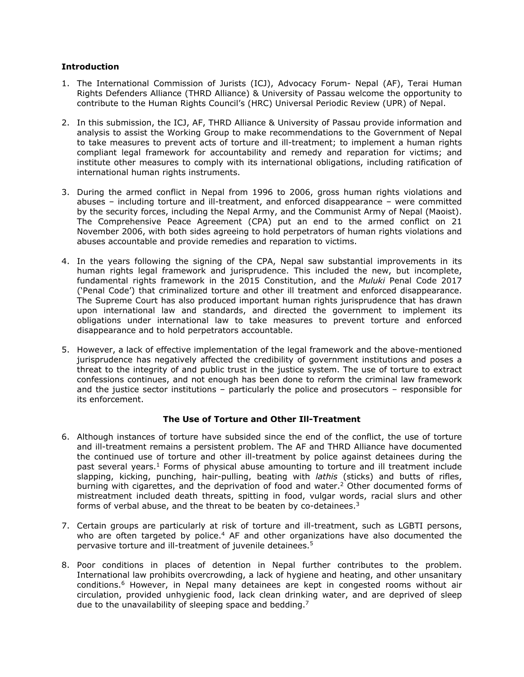#### **Introduction**

- 1. The International Commission of Jurists (ICJ), Advocacy Forum- Nepal (AF), Terai Human Rights Defenders Alliance (THRD Alliance) & University of Passau welcome the opportunity to contribute to the Human Rights Council'<sup>s</sup> (HRC) Universal Periodic Review (UPR) of Nepal.
- 2. In this submission, the ICJ, AF, THRD Alliance & University of Passau provide information and analysis to assist the Working Group to make recommendations to the Government of Nepal to take measures to prevent acts of torture and ill-treatment; to implement <sup>a</sup> human rights compliant legal framework for accountability and remedy and reparation for victims; and institute other measures to comply with its international obligations, including ratification of international human rights instruments.
- 3. During the armed conflict in Nepal from 1996 to 2006, gross human rights violations and abuses – including torture and ill-treatment, and enforced disappearance – were committed by the security forces, including the Nepal Army, and the Communist Army of Nepal (Maoist). The Comprehensive Peace Agreement (CPA) put an end to the armed conflict on 21 November 2006, with both sides agreeing to hold perpetrators of human rights violations and abuses accountable and provide remedies and reparation to victims.
- 4. In the years following the signing of the CPA, Nepal saw substantial improvements in its human rights legal framework and jurisprudence. This included the new, but incomplete, fundamental rights framework in the 2015 Constitution, and the *Muluki* Penal Code 2017 ('Penal Code') that criminalized torture and other ill treatment and enforced disappearance. The Supreme Court has also produced important human rights jurisprudence that has drawn upon international law and standards, and directed the government to implement its obligations under international law to take measures to prevent torture and enforced disappearance and to hold perpetrators accountable.
- 5. However, <sup>a</sup> lack of effective implementation of the legal framework and the above-mentioned jurisprudence has negatively affected the credibility of government institutions and poses <sup>a</sup> threat to the integrity of and public trust in the justice system. The use of torture to extract confessions continues, and not enough has been done to reform the criminal law framework and the justice sector institutions – particularly the police and prosecutors – responsible for its enforcement.

### **The Use of Torture and Other Ill-Treatment**

- 6. Although instances of torture have subsided since the end of the conflict, the use of torture and ill-treatment remains <sup>a</sup> persistent problem. The AF and THRD Alliance have documented the continued use of torture and other ill-treatment by police against detainees during the past several years.<sup>1</sup> Forms of physical abuse amounting to torture and ill treatment include slapping, kicking, punching, hair-pulling, beating with *lathis* (sticks) and butts of rifles, burning with cigarettes, and the deprivation of food and water. <sup>2</sup> Other documented forms of mistreatment included death threats, spitting in food, vulgar words, racial slurs and other forms of verbal abuse, and the threat to be beaten by co-detainees.<sup>3</sup>
- 7. Certain groups are particularly at risk of torture and ill-treatment, such as LGBTI persons, who are often targeted by police. <sup>4</sup> AF and other organizations have also documented the pervasive torture and ill-treatment of juvenile detainees. 5
- 8. Poor conditions in places of detention in Nepal further contributes to the problem. International law prohibits overcrowding, <sup>a</sup> lack of hygiene and heating, and other unsanitary conditions. <sup>6</sup> However, in Nepal many detainees are kept in congested rooms without air circulation, provided unhygienic food, lack clean drinking water, and are deprived of sleep due to the unavailability of sleeping space and bedding.<sup>7</sup>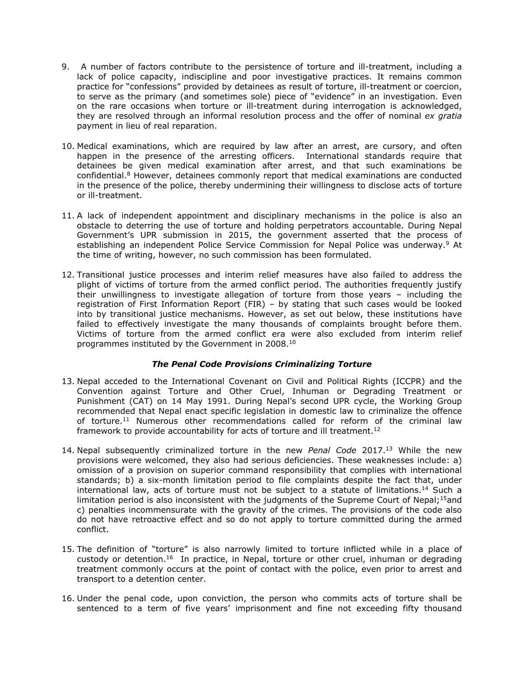- 9. A number of factors contribute to the persistence of torture and ill-treatment, including <sup>a</sup> lack of police capacity, indiscipline and poor investigative practices. It remains common practice for "confessions" provided by detainees as result of torture, ill-treatment or coercion, to serve as the primary (and sometimes sole) piece of "evidence" in an investigation. Even on the rare occasions when torture or ill-treatment during interrogation is acknowledged, they are resolved through an informal resolution process and the offer of nominal *ex gratia* payment in lieu of real reparation.
- 10. Medical examinations, which are required by law after an arrest, are cursory, and often happen in the presence of the arresting officers. International standards require that detainees be given medical examination after arrest, and that such examinations be confidential. <sup>8</sup> However, detainees commonly report that medical examinations are conducted in the presence of the police, thereby undermining their willingness to disclose acts of torture or ill-treatment.
- 11. A lack of independent appointment and disciplinary mechanisms in the police is also an obstacle to deterring the use of torture and holding perpetrators accountable. During Nepal Government'<sup>s</sup> UPR submission in 2015, the government asserted that the process of establishing an independent Police Service Commission for Nepal Police was underway. <sup>9</sup> At the time of writing, however, no such commission has been formulated.
- 12. Transitional justice processes and interim relief measures have also failed to address the plight of victims of torture from the armed conflict period. The authorities frequently justify their unwillingness to investigate allegation of torture from those years – including the registration of First Information Report (FIR) – by stating that such cases would be looked into by transitional justice mechanisms. However, as set out below, these institutions have failed to effectively investigate the many thousands of complaints brought before them. Victims of torture from the armed conflict era were also excluded from interim relief programmes instituted by the Government in 2008. $^{\rm 10}$

# *The Penal Code Provisions Criminalizing Torture*

- 13. Nepal acceded to the International Covenant on Civil and Political Rights (ICCPR) and the Convention against Torture and Other Cruel, Inhuman or Degrading Treatment or Punishment (CAT) on 14 May 1991. During Nepal'<sup>s</sup> second UPR cycle, the Working Group recommended that Nepal enact specific legislation in domestic law to criminalize the offence of torture. <sup>11</sup> Numerous other recommendations called for reform of the criminal law framework to provide accountability for acts of torture and ill treatment.<sup>12</sup>
- 14. Nepal subsequently criminalized torture in the new *Penal Code* 2017. <sup>13</sup> While the new provisions were welcomed, they also had serious deficiencies. These weaknesses include: a) omission of <sup>a</sup> provision on superior command responsibility that complies with international standards; b) <sup>a</sup> six-month limitation period to file complaints despite the fact that, under international law, acts of torture must not be subject to a statute of limitations.<sup>14</sup> Such a limitation period is also inconsistent with the judgments of the Supreme Court of Nepal; $^{15}$ and c) penalties incommensurate with the gravity of the crimes. The provisions of the code also do not have retroactive effect and so do not apply to torture committed during the armed conflict.
- 15. The definition of "torture" is also narrowly limited to torture inflicted while in <sup>a</sup> place of custody or detention.<sup>16</sup> In practice, in Nepal, torture or other cruel, inhuman or degrading treatment commonly occurs at the point of contact with the police, even prior to arrest and transport to <sup>a</sup> detention center.
- 16. Under the penal code, upon conviction, the person who commits acts of torture shall be sentenced to <sup>a</sup> term of five years' imprisonment and fine not exceeding fifty thousand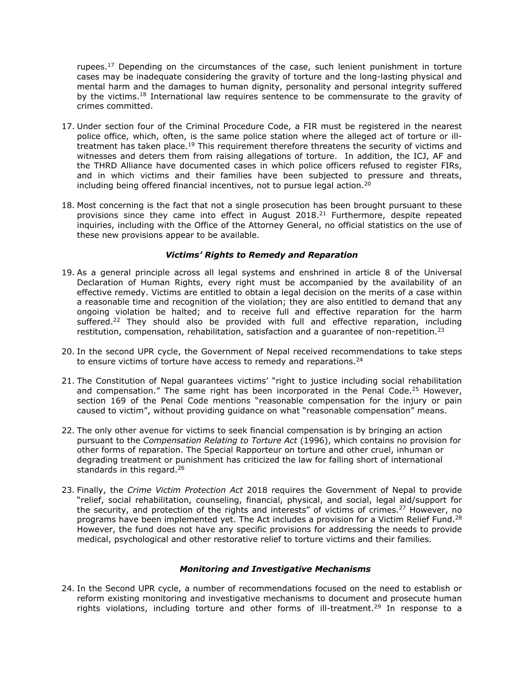rupees.<sup>17</sup> Depending on the circumstances of the case, such lenient punishment in torture cases may be inadequate considering the gravity of torture and the long-lasting physical and mental harm and the damages to human dignity, personality and personal integrity suffered by the victims.<sup>18</sup> International law requires sentence to be commensurate to the gravity of crimes committed.

- 17. Under section four of the Criminal Procedure Code, <sup>a</sup> FIR must be registered in the nearest police office, which, often, is the same police station where the alleged act of torture or illtreatment has taken place.<sup>19</sup> This requirement therefore threatens the security of victims and witnesses and deters them from raising allegations of torture. In addition, the ICJ, AF and the THRD Alliance have documented cases in which police officers refused to register FIRs, and in which victims and their families have been subjected to pressure and threats, including being offered financial incentives, not to pursue legal action. $^{20}$
- 18. Most concerning is the fact that not <sup>a</sup> single prosecution has been brought pursuant to these provisions since they came into effect in August 2018.<sup>21</sup> Furthermore, despite repeated inquiries, including with the Office of the Attorney General, no official statistics on the use of these new provisions appear to be available.

#### *Victims' Rights to Remedy and Reparation*

- 19. As <sup>a</sup> general principle across all legal systems and enshrined in article 8 of the Universal Declaration of Human Rights, every right must be accompanied by the availability of an effective remedy. Victims are entitled to obtain <sup>a</sup> legal decision on the merits of <sup>a</sup> case within <sup>a</sup> reasonable time and recognition of the violation; they are also entitled to demand that any ongoing violation be halted; and to receive full and effective reparation for the harm suffered.<sup>22</sup> They should also be provided with full and effective reparation, including restitution, compensation, rehabilitation, satisfaction and a guarantee of non-repetition.<sup>23</sup>
- 20. In the second UPR cycle, the Government of Nepal received recommendations to take steps to ensure victims of torture have access to remedy and reparations. 24
- 21. The Constitution of Nepal guarantees victims' "right to justice including social rehabilitation and compensation." The same right has been incorporated in the Penal Code.<sup>25</sup> However, section 169 of the Penal Code mentions "reasonable compensation for the injury or pain caused to victim", without providing guidance on what "reasonable compensation" means.
- 22. The only other avenue for victims to seek financial compensation is by bringing an action pursuant to the *Compensation Relating to Torture Act* (1996), which contains no provision for other forms of reparation. The Special Rapporteur on torture and other cruel, inhuman or degrading treatment or punishment has criticized the law for falling short of international standards in this regard. 26
- 23. Finally, the *Crime Victim Protection Act* 2018 requires the Government of Nepal to provide "relief, social rehabilitation, counseling, financial, physical, and social, legal aid/support for the security, and protection of the rights and interests" of victims of crimes.<sup>27</sup> However, no programs have been implemented yet. The Act includes a provision for a Victim Relief Fund.<sup>28</sup> However, the fund does not have any specific provisions for addressing the needs to provide medical, psychological and other restorative relief to torture victims and their families.

# *Monitoring and Investigative Mechanisms*

24. In the Second UPR cycle, <sup>a</sup> number of recommendations focused on the need to establish or reform existing monitoring and investigative mechanisms to document and prosecute human rights violations, including torture and other forms of ill-treatment.<sup>29</sup> In response to a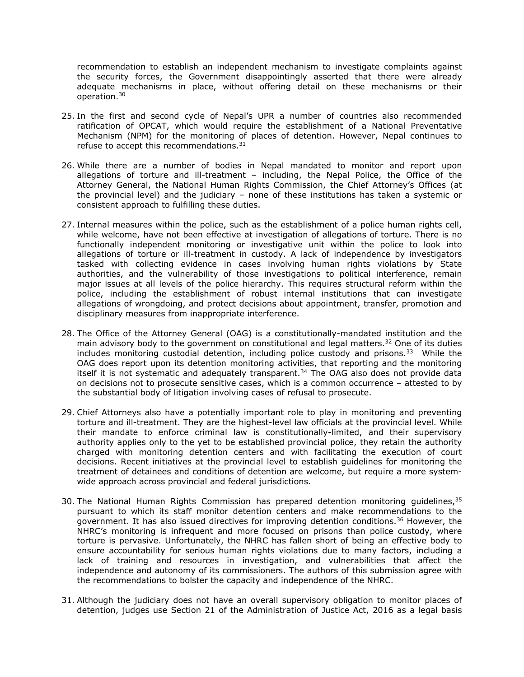recommendation to establish an independent mechanism to investigate complaints against the security forces, the Government disappointingly asserted that there were already adequate mechanisms in place, without offering detail on these mechanisms or their operation. 30

- 25. In the first and second cycle of Nepal'<sup>s</sup> UPR <sup>a</sup> number of countries also recommended ratification of OPCAT, which would require the establishment of <sup>a</sup> National Preventative Mechanism (NPM) for the monitoring of places of detention. However, Nepal continues to refuse to accept this recommendations.<sup>31</sup>
- 26. While there are <sup>a</sup> number of bodies in Nepal mandated to monitor and report upon allegations of torture and ill-treatment – including, the Nepal Police, the Office of the Attorney General, the National Human Rights Commission, the Chief Attorney'<sup>s</sup> Offices (at the provincial level) and the judiciary – none of these institutions has taken <sup>a</sup> systemic or consistent approach to fulfilling these duties.
- 27. Internal measures within the police, such as the establishment of <sup>a</sup> police human rights cell, while welcome, have not been effective at investigation of allegations of torture. There is no functionally independent monitoring or investigative unit within the police to look into allegations of torture or ill-treatment in custody. A lack of independence by investigators tasked with collecting evidence in cases involving human rights violations by State authorities, and the vulnerability of those investigations to political interference, remain major issues at all levels of the police hierarchy. This requires structural reform within the police, including the establishment of robust internal institutions that can investigate allegations of wrongdoing, and protect decisions about appointment, transfer, promotion and disciplinary measures from inappropriate interference.
- 28. The Office of the Attorney General (OAG) is <sup>a</sup> constitutionally-mandated institution and the main advisory body to the government on constitutional and legal matters. <sup>32</sup> One of its duties includes monitoring custodial detention, including police custody and prisons.<sup>33</sup> While the OAG does report upon its detention monitoring activities, that reporting and the monitoring itself it is not systematic and adequately transparent. 34 The OAG also does not provide data on decisions not to prosecute sensitive cases, which is <sup>a</sup> common occurrence – attested to by the substantial body of litigation involving cases of refusal to prosecute.
- 29. Chief Attorneys also have <sup>a</sup> potentially important role to play in monitoring and preventing torture and ill-treatment. They are the highest-level law officials at the provincial level. While their mandate to enforce criminal law is constitutionally-limited, and their supervisory authority applies only to the yet to be established provincial police, they retain the authority charged with monitoring detention centers and with facilitating the execution of court decisions. Recent initiatives at the provincial level to establish guidelines for monitoring the treatment of detainees and conditions of detention are welcome, but require <sup>a</sup> more systemwide approach across provincial and federal jurisdictions.
- 30. The National Human Rights Commission has prepared detention monitoring guidelines,<sup>35</sup> pursuant to which its staff monitor detention centers and make recommendations to the government. It has also issued directives for improving detention conditions.<sup>36</sup> However, the NHRC'<sup>s</sup> monitoring is infrequent and more focused on prisons than police custody, where torture is pervasive. Unfortunately, the NHRC has fallen short of being an effective body to ensure accountability for serious human rights violations due to many factors, including <sup>a</sup> lack of training and resources in investigation, and vulnerabilities that affect the independence and autonomy of its commissioners. The authors of this submission agree with the recommendations to bolster the capacity and independence of the NHRC.
- 31. Although the judiciary does not have an overall supervisory obligation to monitor places of detention, judges use Section 21 of the Administration of Justice Act, 2016 as <sup>a</sup> legal basis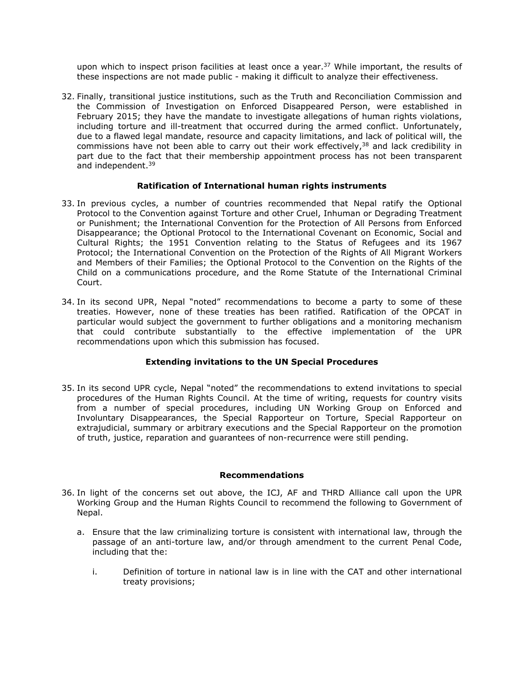upon which to inspect prison facilities at least once a year.<sup>37</sup> While important, the results of these inspections are not made public - making it difficult to analyze their effectiveness.

32. Finally, transitional justice institutions, such as the Truth and Reconciliation Commission and the Commission of Investigation on Enforced Disappeared Person, were established in February 2015; they have the mandate to investigate allegations of human rights violations, including torture and ill-treatment that occurred during the armed conflict. Unfortunately, due to <sup>a</sup> flawed legal mandate, resource and capacity limitations, and lack of political will, the commissions have not been able to carry out their work effectively,<sup>38</sup> and lack credibility in part due to the fact that their membership appointment process has not been transparent and independent.<sup>39</sup>

### **Ratification of International human rights instruments**

- 33. In previous cycles, <sup>a</sup> number of countries recommended that Nepal ratify the Optional Protocol to the Convention against Torture and other Cruel, Inhuman or Degrading Treatment or Punishment; the International Convention for the Protection of All Persons from Enforced Disappearance; the Optional Protocol to the International Covenant on Economic, Social and Cultural Rights; the 1951 Convention relating to the Status of Refugees and its 1967 Protocol; the International Convention on the Protection of the Rights of All Migrant Workers and Members of their Families; the Optional Protocol to the Convention on the Rights of the Child on <sup>a</sup> communications procedure, and the Rome Statute of the International Criminal Court.
- 34. In its second UPR, Nepal "noted" recommendations to become <sup>a</sup> party to some of these treaties. However, none of these treaties has been ratified. Ratification of the OPCAT in particular would subject the government to further obligations and <sup>a</sup> monitoring mechanism that could contribute substantially to the effective implementation of the UPR recommendations upon which this submission has focused.

# **Extending invitations to the UN Special Procedures**

35. In its second UPR cycle, Nepal "noted" the recommendations to extend invitations to special procedures of the Human Rights Council. At the time of writing, requests for country visits from <sup>a</sup> number of special procedures, including UN Working Group on Enforced and Involuntary Disappearances, the Special Rapporteur on Torture, Special Rapporteur on extrajudicial, summary or arbitrary executions and the Special Rapporteur on the promotion of truth, justice, reparation and guarantees of non-recurrence were still pending.

#### **Recommendations**

- 36. In light of the concerns set out above, the ICJ, AF and THRD Alliance call upon the UPR Working Group and the Human Rights Council to recommend the following to Government of Nepal.
	- a. Ensure that the law criminalizing torture is consistent with international law, through the passage of an anti-torture law, and/or through amendment to the current Penal Code, including that the:
		- i. Definition of torture in national law is in line with the CAT and other international treaty provisions;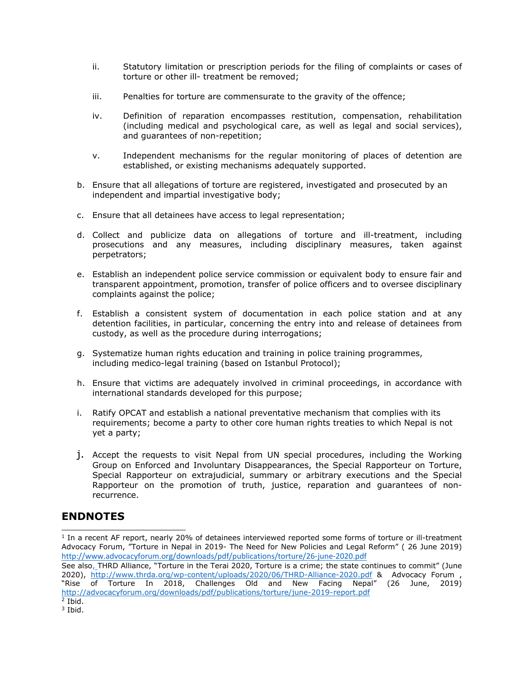- ii. Statutory limitation or prescription periods for the filing of complaints or cases of torture or other ill- treatment be removed;
- iii. Penalties for torture are commensurate to the gravity of the offence;
- iv. Definition of reparation encompasses restitution, compensation, rehabilitation (including medical and psychological care, as well as legal and social services), and guarantees of non-repetition;
- v. Independent mechanisms for the regular monitoring of places of detention are established, or existing mechanisms adequately supported.
- b. Ensure that all allegations of torture are registered, investigated and prosecuted by an independent and impartial investigative body;
- c. Ensure that all detainees have access to legal representation;
- d. Collect and publicize data on allegations of torture and ill-treatment, including prosecutions and any measures, including disciplinary measures, taken against perpetrators;
- e. Establish an independent police service commission or equivalent body to ensure fair and transparent appointment, promotion, transfer of police officers and to oversee disciplinary complaints against the police;
- f. Establish <sup>a</sup> consistent system of documentation in each police station and at any detention facilities, in particular, concerning the entry into and release of detainees from custody, as well as the procedure during interrogations;
- g. Systematize human rights education and training in police training programmes, including medico-legal training (based on Istanbul Protocol);
- h. Ensure that victims are adequately involved in criminal proceedings, in accordance with international standards developed for this purpose;
- i. Ratify OPCAT and establish <sup>a</sup> national preventative mechanism that complies with its requirements; become <sup>a</sup> party to other core human rights treaties to which Nepal is not yet <sup>a</sup> party;
- j. Accept the requests to visit Nepal from UN special procedures, including the Working Group on Enforced and Involuntary Disappearances, the Special Rapporteur on Torture, Special Rapporteur on extrajudicial, summary or arbitrary executions and the Special Rapporteur on the promotion of truth, justice, reparation and guarantees of nonrecurrence.

# **ENDNOTES**

<sup>1</sup> In a recent AF report, nearly 20% of detainees interviewed reported some forms of torture or ill-treatment Advocacy Forum, "Torture in Nepal in 2019- The Need for New Policies and Legal Reform" ( 26 June 2019) <http://www.advocacyforum.org/downloads/pdf/publications/torture/26-june-2020.pdf>

See also, THRD Alliance, "Torture in the Terai 2020, Torture is <sup>a</sup> crime; the state continues to commit" (June 2020), <http://www.thrda.org/wp-content/uploads/2020/06/THRD-Alliance-2020.pdf> & Advocacy Forum, "Rise of Torture In 2018, Challenges Old and New Facing Nepal" (26 June, 2019) <http://advocacyforum.org/downloads/pdf/publications/torture/june-2019-report.pdf>

<sup>2</sup> Ibid.

<sup>3</sup> Ibid.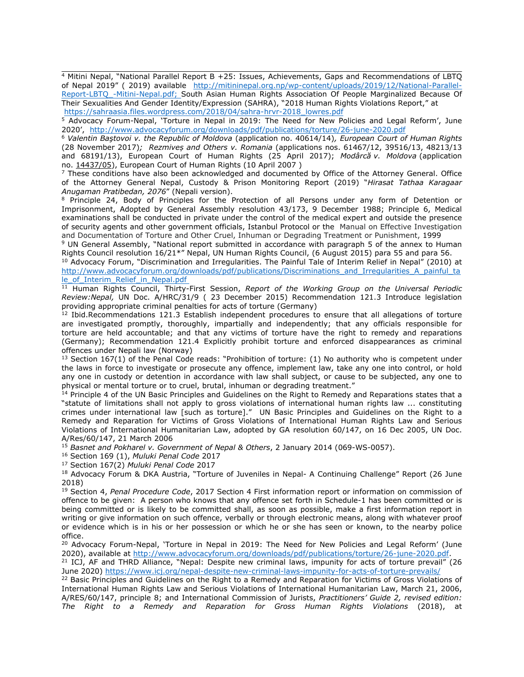$4$  Mitini Nepal, "National Parallel Report B +25: Issues, Achievements, Gaps and Recommendations of LBTO of Nepal 2019" ( 2019) available [http://mitininepal.org.np/wp-content/uploads/2019/12/National-Parallel-](http://mitininepal.org.np/wp-content/uploads/2019/12/National-Parallel-Report-LBTQ_-Mitini-Nepal.pdf)[Report-LBTQ\\_-Mitini-Nepal.pdf](http://mitininepal.org.np/wp-content/uploads/2019/12/National-Parallel-Report-LBTQ_-Mitini-Nepal.pdf); South Asian Human Rights Association Of People Marginalized Because Of Their Sexualities And Gender Identity/Expression (SAHRA), "2018 Human Rights Violations Report," at [https://sahraasia.files.wordpress.com/2018/04/sahra-hrvr-2018\\_lowres.pdf](https://sahraasia.files.wordpress.com/2018/04/sahra-hrvr-2018_lowres.pdf)

<sup>5</sup> Advocacy Forum-Nepal, 'Torture in Nepal in 2019: The Need for New Policies and Legal Reform', June 2020', <http://www.advocacyforum.org/downloads/pdf/publications/torture/26-june-2020.pdf>

<sup>6</sup> *Valentin Baştovoi v. the Republic of Moldova* (application no. 40614/14)*, European Court of Human Rights* (28 November 2017)*; Rezmiveș and Others v. Romania* (applications nos. 61467/12, 39516/13, 48213/13 and 68191/13), European Court of Human Rights (25 April 2017); *Modârcă v. Moldova* (application no. [14437/05](https://hudoc.echr.coe.int/eng#{%22appno%22:[%2214437/05%22]})), European Court of Human Rights (10 April 2007 )

7 These conditions have also been acknowledged and documented by Office of the Attorney General. Office of the Attorney General Nepal, Custody & Prison Monitoring Report (2019) "*Hirasat Tathaa Karagaar Anugaman Pratibedan, 2076*" (Nepali version).

8 Principle 24, Body of Principles for the Protection of all Persons under any form of Detention or Imprisonment, Adopted by General Assembly resolution 43/173, 9 December 1988; Principle 6, Medical examinations shall be conducted in private under the control of the medical expert and outside the presence of security agents and other government officials, Istanbul Protocol or the Manual on Effective Investigation and Documentation of Torture and Other Cruel, Inhuman or Degrading Treatment or Punishment, 1999

<sup>9</sup> UN General Assembly, "National report submitted in accordance with paragraph 5 of the annex to Human Rights Council resolution 16/21\*" Nepal, UN Human Rights Council, (6 August 2015) para 55 and para 56.

<sup>10</sup> Advocacy Forum, "Discrimination and Irregularities. The Painful Tale of Interim Relief in Nepal" (2010) at [http://www.advocacyforum.org/downloads/pdf/publications/Discriminations\\_and\\_Irregularities\\_A\\_painful\\_ta](http://www.advocacyforum.org/downloads/pdf/publications/Discriminations_and_Irregularities_A_painful_tale_of_Interim_Relief_in_Nepal.pdf) [le\\_of\\_Interim\\_Relief\\_in\\_Nepal.pdf](http://www.advocacyforum.org/downloads/pdf/publications/Discriminations_and_Irregularities_A_painful_tale_of_Interim_Relief_in_Nepal.pdf)

<sup>11</sup> Human Rights Council, Thirty-First Session, *Report of the Working Group on the Universal Periodic Review:Nepal,* UN Doc. A/HRC/31/9 ( 23 December 2015) Recommendation 121.3 Introduce legislation providing appropriate criminal penalties for acts of torture (Germany)

<sup>12</sup> Ibid.Recommendations 121.3 Establish independent procedures to ensure that all allegations of torture are investigated promptly, thoroughly, impartially and independently; that any officials responsible for torture are held accountable; and that any victims of torture have the right to remedy and reparations (Germany); Recommendation 121.4 Explicitly prohibit torture and enforced disappearances as criminal offences under Nepali law (Norway)

<sup>13</sup> Section 167(1) of the Penal Code reads: "Prohibition of torture: (1) No authority who is competent under the laws in force to investigate or prosecute any offence, implement law, take any one into control, or hold any one in custody or detention in accordance with law shall subject, or cause to be subjected, any one to physical or mental torture or to cruel, brutal, inhuman or degrading treatment."

<sup>14</sup> Principle 4 of the UN Basic Principles and Guidelines on the Right to Remedy and Reparations states that a "statute of limitations shall not apply to gross violations of international human rights law ... constituting crimes under international law [such as torture]." UN Basic Principles and Guidelines on the Right to <sup>a</sup> Remedy and Reparation for Victims of Gross Violations of International Human Rights Law and Serious Violations of International Humanitarian Law, adopted by GA resolution 60/147, on 16 Dec 2005, UN Doc. A/Res/60/147, 21 March 2006

<sup>15</sup> *Basnet and Pokharel v. Government of Nepal & Others*, 2 January 2014 (069-WS-0057).

<sup>16</sup> Section 169 (1), *Muluki Penal Code* 2017

<sup>17</sup> Section 167(2) *Muluki Penal Code* 2017

<sup>18</sup> Advocacy Forum & DKA Austria, "Torture of Juveniles in Nepal- A Continuing Challenge" Report (26 June 2018)

<sup>19</sup> Section 4, *Penal Procedure Code*, 2017 Section 4 First information report or information on commission of offence to be given: A person who knows that any offence set forth in Schedule-1 has been committed or is being committed or is likely to be committed shall, as soon as possible, make <sup>a</sup> first information report in writing or give information on such offence, verbally or through electronic means, along with whatever proof or evidence which is in his or her possession or which he or she has seen or known, to the nearby police office.

<sup>20</sup> Advocacy Forum-Nepal, 'Torture in Nepal in 2019: The Need for New Policies and Legal Reform' (June 2020), available at <http://www.advocacyforum.org/downloads/pdf/publications/torture/26-june-2020.pdf>.

<sup>21</sup> ICJ, AF and THRD Alliance, "Nepal: Despite new criminal laws, impunity for acts of torture prevail" (26 June 2020) <https://www.icj.org/nepal-despite-new-criminal-laws-impunity-for-acts-of-torture-prevails/>

<sup>22</sup> Basic Principles and Guidelines on the Right to a Remedy and Reparation for Victims of Gross Violations of International Human Rights Law and Serious Violations of International Humanitarian Law, March 21, 2006, A/RES/60/147, principle 8; and International Commission of Jurists, *Practitioners' Guide 2, revised edition: The Right to <sup>a</sup> Remedy and Reparation for Gross Human Rights Violations* (2018), at